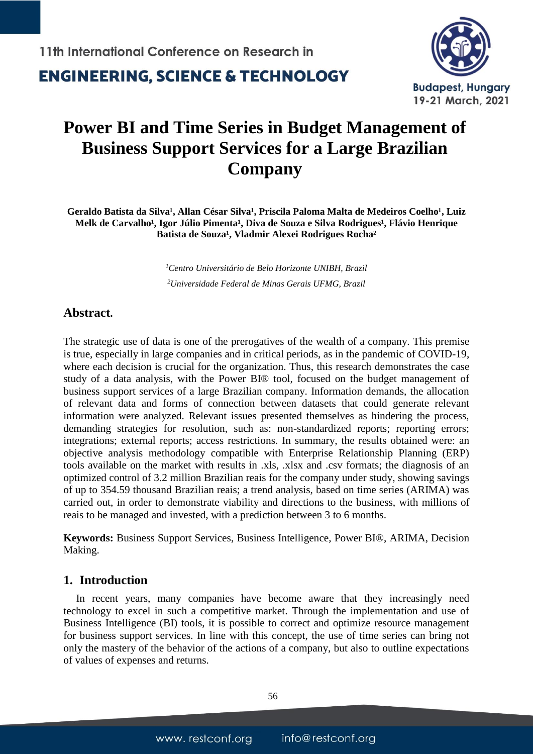**ENGINEERING. SCIENCE & TECHNOLOGY** 



# **Power BI and Time Series in Budget Management of Business Support Services for a Large Brazilian Company**

Geraldo Batista da Silva<sup>1</sup>, Allan César Silva<sup>1</sup>, Priscila Paloma Malta de Medeiros Coelho<sup>1</sup>, Luiz **Melk de Carvalho<sup>1</sup>, Igor Júlio Pimenta<sup>1</sup>, Diva de Souza e Silva Rodrigues<sup>1</sup>, Flávio Henrique** Batista de Souza<sup>1</sup>, Vladmir Alexei Rodrigues Rocha<sup>2</sup>

> *<sup>1</sup>Centro Universitário de Belo Horizonte UNIBH, Brazil <sup>2</sup>Universidade Federal de Minas Gerais UFMG, Brazil*

### **Abstract.**

The strategic use of data is one of the prerogatives of the wealth of a company. This premise is true, especially in large companies and in critical periods, as in the pandemic of COVID-19, where each decision is crucial for the organization. Thus, this research demonstrates the case study of a data analysis, with the Power BI® tool, focused on the budget management of business support services of a large Brazilian company. Information demands, the allocation of relevant data and forms of connection between datasets that could generate relevant information were analyzed. Relevant issues presented themselves as hindering the process, demanding strategies for resolution, such as: non-standardized reports; reporting errors; integrations; external reports; access restrictions. In summary, the results obtained were: an objective analysis methodology compatible with Enterprise Relationship Planning (ERP) tools available on the market with results in .xls, .xlsx and .csv formats; the diagnosis of an optimized control of 3.2 million Brazilian reais for the company under study, showing savings of up to 354.59 thousand Brazilian reais; a trend analysis, based on time series (ARIMA) was carried out, in order to demonstrate viability and directions to the business, with millions of reais to be managed and invested, with a prediction between 3 to 6 months.

**Keywords:** Business Support Services, Business Intelligence, Power BI®, ARIMA, Decision Making.

### **1. Introduction**

In recent years, many companies have become aware that they increasingly need technology to excel in such a competitive market. Through the implementation and use of Business Intelligence (BI) tools, it is possible to correct and optimize resource management for business support services. In line with this concept, the use of time series can bring not only the mastery of the behavior of the actions of a company, but also to outline expectations of values of expenses and returns.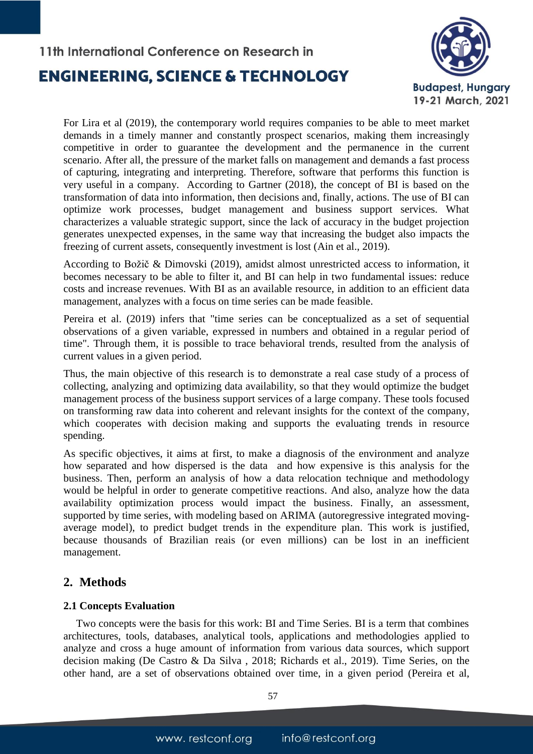

For Lira et al (2019), the contemporary world requires companies to be able to meet market demands in a timely manner and constantly prospect scenarios, making them increasingly competitive in order to guarantee the development and the permanence in the current scenario. After all, the pressure of the market falls on management and demands a fast process of capturing, integrating and interpreting. Therefore, software that performs this function is very useful in a company. According to Gartner (2018), the concept of BI is based on the transformation of data into information, then decisions and, finally, actions. The use of BI can optimize work processes, budget management and business support services. What characterizes a valuable strategic support, since the lack of accuracy in the budget projection generates unexpected expenses, in the same way that increasing the budget also impacts the freezing of current assets, consequently investment is lost (Ain et al., 2019).

According to Božič & Dimovski (2019), amidst almost unrestricted access to information, it becomes necessary to be able to filter it, and BI can help in two fundamental issues: reduce costs and increase revenues. With BI as an available resource, in addition to an efficient data management, analyzes with a focus on time series can be made feasible.

Pereira et al. (2019) infers that "time series can be conceptualized as a set of sequential observations of a given variable, expressed in numbers and obtained in a regular period of time". Through them, it is possible to trace behavioral trends, resulted from the analysis of current values in a given period.

Thus, the main objective of this research is to demonstrate a real case study of a process of collecting, analyzing and optimizing data availability, so that they would optimize the budget management process of the business support services of a large company. These tools focused on transforming raw data into coherent and relevant insights for the context of the company, which cooperates with decision making and supports the evaluating trends in resource spending.

As specific objectives, it aims at first, to make a diagnosis of the environment and analyze how separated and how dispersed is the data and how expensive is this analysis for the business. Then, perform an analysis of how a data relocation technique and methodology would be helpful in order to generate competitive reactions. And also, analyze how the data availability optimization process would impact the business. Finally, an assessment, supported by time series, with modeling based on ARIMA (autoregressive integrated movingaverage model), to predict budget trends in the expenditure plan. This work is justified, because thousands of Brazilian reais (or even millions) can be lost in an inefficient management.

### **2. Methods**

### **2.1 Concepts Evaluation**

Two concepts were the basis for this work: BI and Time Series. BI is a term that combines architectures, tools, databases, analytical tools, applications and methodologies applied to analyze and cross a huge amount of information from various data sources, which support decision making (De Castro & Da Silva , 2018; Richards et al., 2019). Time Series, on the other hand, are a set of observations obtained over time, in a given period (Pereira et al,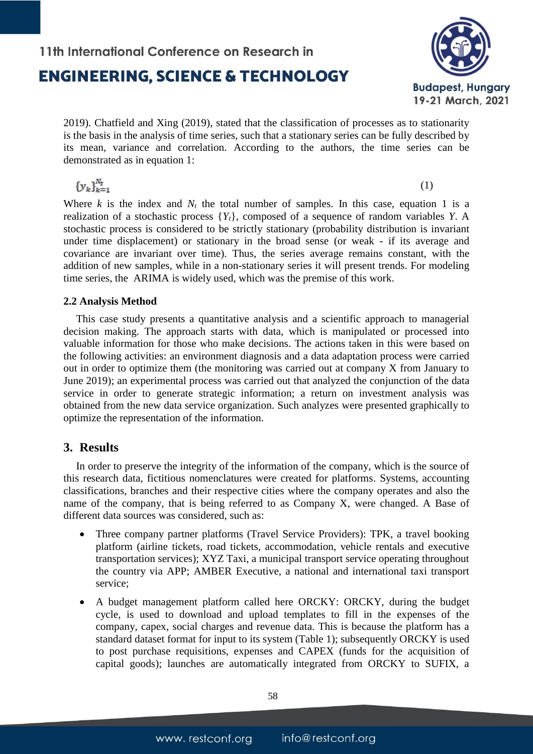# **ENGINEERING. SCIENCE & TECHNOLOGY**

11th International Conference on Research in



2019). Chatfield and Xing (2019), stated that the classification of processes as to stationarity is the basis in the analysis of time series, such that a stationary series can be fully described by its mean, variance and correlation. According to the authors, the time series can be demonstrated as in equation 1:

 ${y_k}_{k=1}^{N_t}$ 

(1)

Where  $k$  is the index and  $N_t$  the total number of samples. In this case, equation 1 is a realization of a stochastic process {*Yt*}, composed of a sequence of random variables *Y*. A stochastic process is considered to be strictly stationary (probability distribution is invariant under time displacement) or stationary in the broad sense (or weak - if its average and covariance are invariant over time). Thus, the series average remains constant, with the addition of new samples, while in a non-stationary series it will present trends. For modeling time series, the ARIMA is widely used, which was the premise of this work.

### **2.2 Analysis Method**

This case study presents a quantitative analysis and a scientific approach to managerial decision making. The approach starts with data, which is manipulated or processed into valuable information for those who make decisions. The actions taken in this were based on the following activities: an environment diagnosis and a data adaptation process were carried out in order to optimize them (the monitoring was carried out at company X from January to June 2019); an experimental process was carried out that analyzed the conjunction of the data service in order to generate strategic information; a return on investment analysis was obtained from the new data service organization. Such analyzes were presented graphically to optimize the representation of the information.

### **3. Results**

In order to preserve the integrity of the information of the company, which is the source of this research data, fictitious nomenclatures were created for platforms. Systems, accounting classifications, branches and their respective cities where the company operates and also the name of the company, that is being referred to as Company X, were changed. A Base of different data sources was considered, such as:

- Three company partner platforms (Travel Service Providers): TPK, a travel booking platform (airline tickets, road tickets, accommodation, vehicle rentals and executive transportation services); XYZ Taxi, a municipal transport service operating throughout the country via APP; AMBER Executive, a national and international taxi transport service;
- A budget management platform called here ORCKY: ORCKY, during the budget cycle, is used to download and upload templates to fill in the expenses of the company, capex, social charges and revenue data. This is because the platform has a standard dataset format for input to its system (Table 1); subsequently ORCKY is used to post purchase requisitions, expenses and CAPEX (funds for the acquisition of capital goods); launches are automatically integrated from ORCKY to SUFIX, a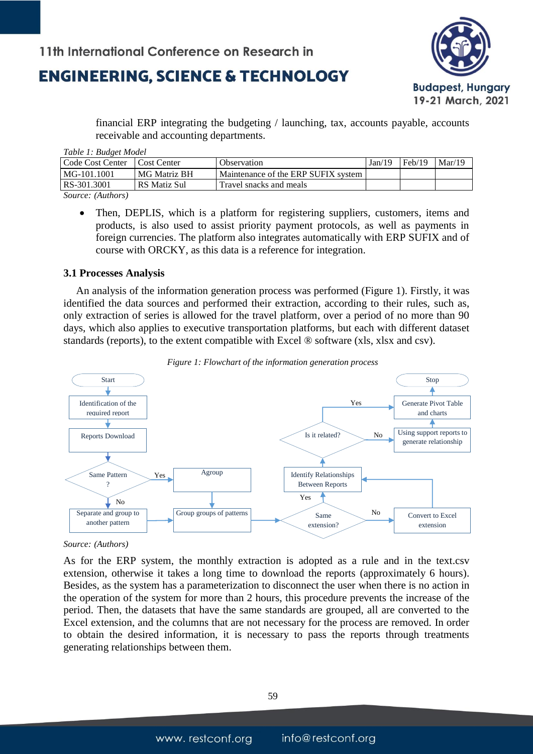

financial ERP integrating the budgeting / launching, tax, accounts payable, accounts receivable and accounting departments.

*Table 1: Budget Model*

| Code Cost Center | Cost Center  | Observation                           | Jan/19 | Feb/19 | Mar/19 |
|------------------|--------------|---------------------------------------|--------|--------|--------|
| MG-101.1001      | MG Matriz BH | Maintenance of the ERP SUFIX system I |        |        |        |
| RS-301.3001      | RS Matiz Sul | Travel snacks and meals               |        |        |        |
| $\sim$           |              |                                       |        |        |        |

*Source: (Authors)*

 Then, DEPLIS, which is a platform for registering suppliers, customers, items and products, is also used to assist priority payment protocols, as well as payments in foreign currencies. The platform also integrates automatically with ERP SUFIX and of course with ORCKY, as this data is a reference for integration.

### **3.1 Processes Analysis**

An analysis of the information generation process was performed (Figure 1). Firstly, it was identified the data sources and performed their extraction, according to their rules, such as, only extraction of series is allowed for the travel platform, over a period of no more than 90 days, which also applies to executive transportation platforms, but each with different dataset standards (reports), to the extent compatible with Excel ® software (xls, xlsx and csv).



*Figure 1: Flowchart of the information generation process*

#### *Source: (Authors)*

As for the ERP system, the monthly extraction is adopted as a rule and in the text.csv extension, otherwise it takes a long time to download the reports (approximately 6 hours). Besides, as the system has a parameterization to disconnect the user when there is no action in the operation of the system for more than 2 hours, this procedure prevents the increase of the period. Then, the datasets that have the same standards are grouped, all are converted to the Excel extension, and the columns that are not necessary for the process are removed. In order to obtain the desired information, it is necessary to pass the reports through treatments generating relationships between them.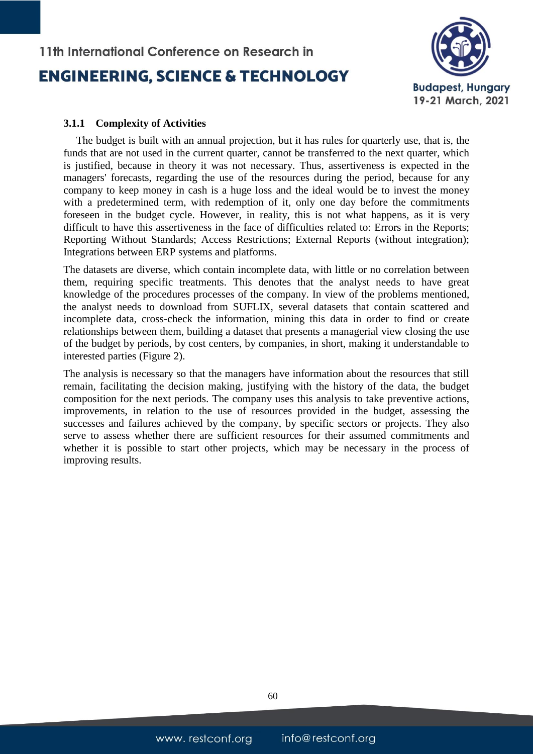

### **3.1.1 Complexity of Activities**

The budget is built with an annual projection, but it has rules for quarterly use, that is, the funds that are not used in the current quarter, cannot be transferred to the next quarter, which is justified, because in theory it was not necessary. Thus, assertiveness is expected in the managers' forecasts, regarding the use of the resources during the period, because for any company to keep money in cash is a huge loss and the ideal would be to invest the money with a predetermined term, with redemption of it, only one day before the commitments foreseen in the budget cycle. However, in reality, this is not what happens, as it is very difficult to have this assertiveness in the face of difficulties related to: Errors in the Reports; Reporting Without Standards; Access Restrictions; External Reports (without integration); Integrations between ERP systems and platforms.

The datasets are diverse, which contain incomplete data, with little or no correlation between them, requiring specific treatments. This denotes that the analyst needs to have great knowledge of the procedures processes of the company. In view of the problems mentioned, the analyst needs to download from SUFLIX, several datasets that contain scattered and incomplete data, cross-check the information, mining this data in order to find or create relationships between them, building a dataset that presents a managerial view closing the use of the budget by periods, by cost centers, by companies, in short, making it understandable to interested parties (Figure 2).

The analysis is necessary so that the managers have information about the resources that still remain, facilitating the decision making, justifying with the history of the data, the budget composition for the next periods. The company uses this analysis to take preventive actions, improvements, in relation to the use of resources provided in the budget, assessing the successes and failures achieved by the company, by specific sectors or projects. They also serve to assess whether there are sufficient resources for their assumed commitments and whether it is possible to start other projects, which may be necessary in the process of improving results.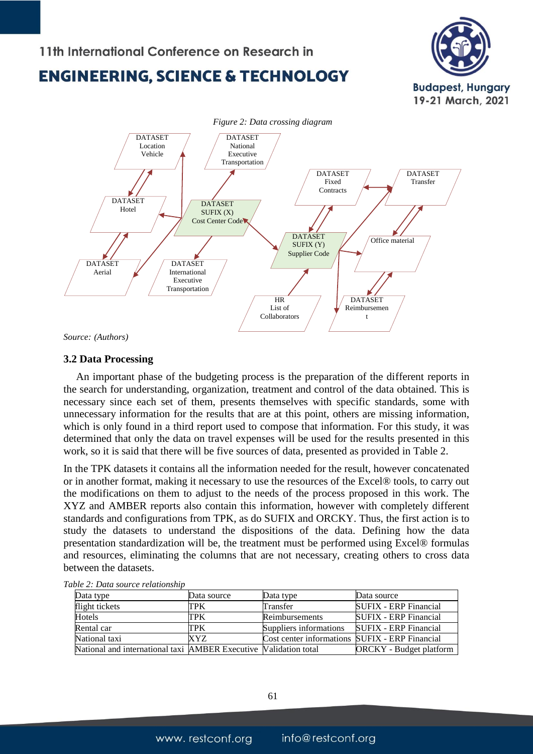## 11th International Conference on Research in

## **ENGINEERING. SCIENCE & TECHNOLOGY**





*Source: (Authors)*

### **3.2 Data Processing**

An important phase of the budgeting process is the preparation of the different reports in the search for understanding, organization, treatment and control of the data obtained. This is necessary since each set of them, presents themselves with specific standards, some with unnecessary information for the results that are at this point, others are missing information, which is only found in a third report used to compose that information. For this study, it was determined that only the data on travel expenses will be used for the results presented in this work, so it is said that there will be five sources of data, presented as provided in Table 2.

In the TPK datasets it contains all the information needed for the result, however concatenated or in another format, making it necessary to use the resources of the Excel® tools, to carry out the modifications on them to adjust to the needs of the process proposed in this work. The XYZ and AMBER reports also contain this information, however with completely different standards and configurations from TPK, as do SUFIX and ORCKY. Thus, the first action is to study the datasets to understand the dispositions of the data. Defining how the data presentation standardization will be, the treatment must be performed using Excel® formulas and resources, eliminating the columns that are not necessary, creating others to cross data between the datasets.

| Data type                                                      | Data source | Data type                                      | Data source                  |
|----------------------------------------------------------------|-------------|------------------------------------------------|------------------------------|
| flight tickets                                                 | TPK         | Transfer                                       | <b>SUFIX - ERP Financial</b> |
| <b>Hotels</b>                                                  | TPK         | Reimbursements                                 | <b>SUFIX - ERP Financial</b> |
| Rental car                                                     | TPK         | Suppliers informations                         | <b>SUFIX - ERP Financial</b> |
| National taxi                                                  | XYZ.        | Cost center informations SUFIX - ERP Financial |                              |
| National and international taxi AMBER Executive National total |             |                                                | ORCKY - Budget platform      |

*Table 2: Data source relationship*

61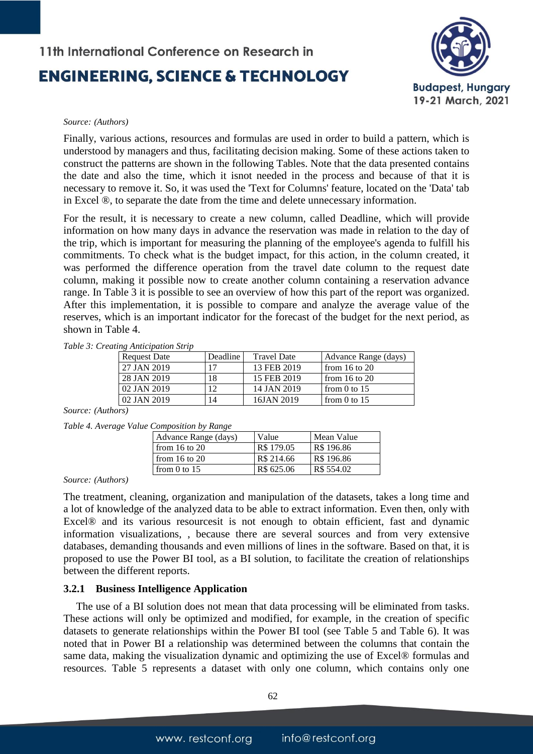

#### *Source: (Authors)*

Finally, various actions, resources and formulas are used in order to build a pattern, which is understood by managers and thus, facilitating decision making. Some of these actions taken to construct the patterns are shown in the following Tables. Note that the data presented contains the date and also the time, which it isnot needed in the process and because of that it is necessary to remove it. So, it was used the 'Text for Columns' feature, located on the 'Data' tab in Excel ®, to separate the date from the time and delete unnecessary information.

For the result, it is necessary to create a new column, called Deadline, which will provide information on how many days in advance the reservation was made in relation to the day of the trip, which is important for measuring the planning of the employee's agenda to fulfill his commitments. To check what is the budget impact, for this action, in the column created, it was performed the difference operation from the travel date column to the request date column, making it possible now to create another column containing a reservation advance range. In Table 3 it is possible to see an overview of how this part of the report was organized. After this implementation, it is possible to compare and analyze the average value of the reserves, which is an important indicator for the forecast of the budget for the next period, as shown in Table 4.

|  |  | Table 3: Creating Anticipation Strip |  |
|--|--|--------------------------------------|--|
|--|--|--------------------------------------|--|

| $\mu$ , $\mu$ is the experience is the set |          |                    |                      |
|--------------------------------------------|----------|--------------------|----------------------|
| <b>Request Date</b>                        | Deadline | <b>Travel Date</b> | Advance Range (days) |
| 27 JAN 2019                                | 17       | 13 FEB 2019        | from 16 to 20        |
| 28 JAN 2019                                | 18       | 15 FEB 2019        | from 16 to 20        |
| 02 JAN 2019                                | 12       | 14 JAN 2019        | from 0 to $15$       |
| 02 JAN 2019                                | 14       | 16JAN 2019         | from 0 to $15$       |

*Source: (Authors)*

| Table 4. Average Value Composition by Range |  |  |  |  |
|---------------------------------------------|--|--|--|--|
|---------------------------------------------|--|--|--|--|

| Advance Range (days) | Value      | Mean Value |
|----------------------|------------|------------|
| from $16$ to $20$    | R\$ 179.05 | R\$ 196.86 |
| from $16$ to $20$    | R\$ 214.66 | R\$ 196.86 |
| from 0 to $15$       | R\$ 625.06 | R\$ 554.02 |

*Source: (Authors)*

The treatment, cleaning, organization and manipulation of the datasets, takes a long time and a lot of knowledge of the analyzed data to be able to extract information. Even then, only with Excel® and its various resourcesit is not enough to obtain efficient, fast and dynamic information visualizations, , because there are several sources and from very extensive databases, demanding thousands and even millions of lines in the software. Based on that, it is proposed to use the Power BI tool, as a BI solution, to facilitate the creation of relationships between the different reports.

#### **3.2.1 Business Intelligence Application**

The use of a BI solution does not mean that data processing will be eliminated from tasks. These actions will only be optimized and modified, for example, in the creation of specific datasets to generate relationships within the Power BI tool (see Table 5 and Table 6). It was noted that in Power BI a relationship was determined between the columns that contain the same data, making the visualization dynamic and optimizing the use of Excel® formulas and resources. Table 5 represents a dataset with only one column, which contains only one

62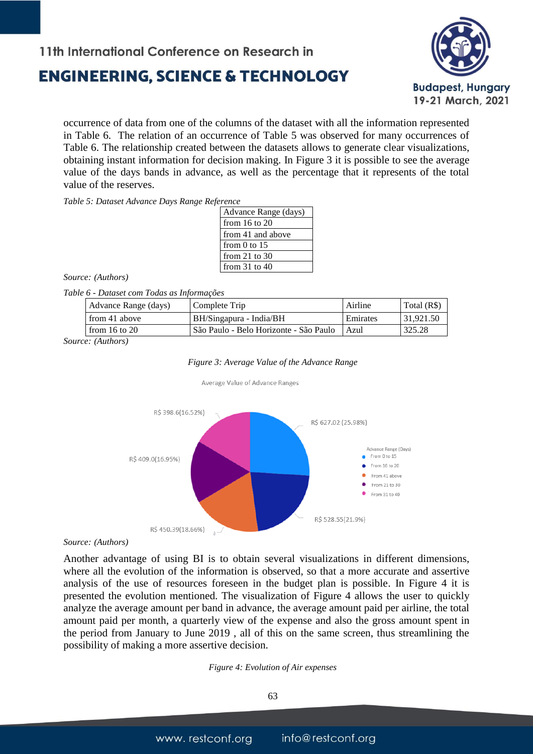## **ENGINEERING, SCIENCE & TECHNOLOGY**



occurrence of data from one of the columns of the dataset with all the information represented in Table 6. The relation of an occurrence of Table 5 was observed for many occurrences of Table 6. The relationship created between the datasets allows to generate clear visualizations, obtaining instant information for decision making. In Figure 3 it is possible to see the average value of the days bands in advance, as well as the percentage that it represents of the total value of the reserves.

*Table 5: Dataset Advance Days Range Reference*

| Advance Range (days) |
|----------------------|
| from 16 to 20        |
| from 41 and above    |
| from 0 to $15$       |
| from 21 to $30$      |
| from $31$ to $40$    |
|                      |

*Source: (Authors)*

#### *Table 6 - Dataset com Todas as Informações*

| from 41 above<br>Emirates<br>31.921.50<br>BH/Singapura - India/BH<br>. São Paulo - Belo Horizonte - São Paulo<br>from $16$ to $20$<br>325.28<br>Azul | Advance Range (days) | Complete Trip | Airline | Total (R\$) |
|------------------------------------------------------------------------------------------------------------------------------------------------------|----------------------|---------------|---------|-------------|
|                                                                                                                                                      |                      |               |         |             |
|                                                                                                                                                      |                      |               |         |             |

*Source: (Authors)*



Average Value of Advance Ranges



#### *Source: (Authors)*

Another advantage of using BI is to obtain several visualizations in different dimensions, where all the evolution of the information is observed, so that a more accurate and assertive analysis of the use of resources foreseen in the budget plan is possible. In Figure 4 it is presented the evolution mentioned. The visualization of Figure 4 allows the user to quickly analyze the average amount per band in advance, the average amount paid per airline, the total amount paid per month, a quarterly view of the expense and also the gross amount spent in the period from January to June 2019 , all of this on the same screen, thus streamlining the possibility of making a more assertive decision.

#### *Figure 4: Evolution of Air expenses*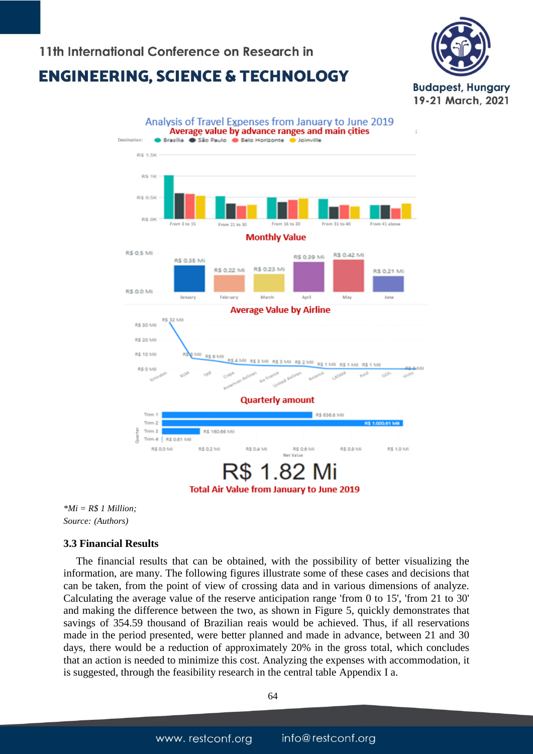### 11th International Conference on Research in

## **ENGINEERING. SCIENCE & TECHNOLOGY**





*\*Mi = R\$ 1 Million; Source: (Authors)*

### **3.3 Financial Results**

The financial results that can be obtained, with the possibility of better visualizing the information, are many. The following figures illustrate some of these cases and decisions that can be taken, from the point of view of crossing data and in various dimensions of analyze. Calculating the average value of the reserve anticipation range 'from 0 to 15', 'from 21 to 30' and making the difference between the two, as shown in Figure 5, quickly demonstrates that savings of 354.59 thousand of Brazilian reais would be achieved. Thus, if all reservations made in the period presented, were better planned and made in advance, between 21 and 30 days, there would be a reduction of approximately 20% in the gross total, which concludes that an action is needed to minimize this cost. Analyzing the expenses with accommodation, it is suggested, through the feasibility research in the central table Appendix I a.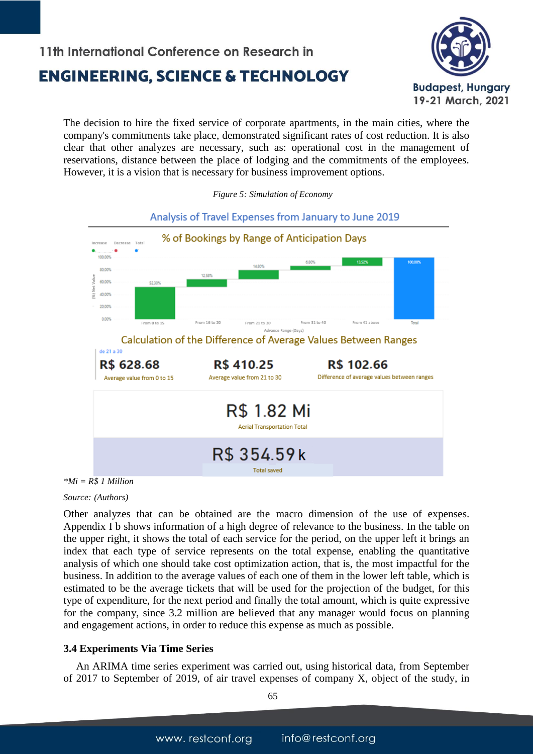

The decision to hire the fixed service of corporate apartments, in the main cities, where the company's commitments take place, demonstrated significant rates of cost reduction. It is also clear that other analyzes are necessary, such as: operational cost in the management of reservations, distance between the place of lodging and the commitments of the employees. However, it is a vision that is necessary for business improvement options.



#### *Figure 5: Simulation of Economy*

*\*Mi = R\$ 1 Million*

*Source: (Authors)*

Other analyzes that can be obtained are the macro dimension of the use of expenses. Appendix I b shows information of a high degree of relevance to the business. In the table on the upper right, it shows the total of each service for the period, on the upper left it brings an index that each type of service represents on the total expense, enabling the quantitative analysis of which one should take cost optimization action, that is, the most impactful for the business. In addition to the average values of each one of them in the lower left table, which is estimated to be the average tickets that will be used for the projection of the budget, for this type of expenditure, for the next period and finally the total amount, which is quite expressive for the company, since 3.2 million are believed that any manager would focus on planning and engagement actions, in order to reduce this expense as much as possible.

### **3.4 Experiments Via Time Series**

An ARIMA time series experiment was carried out, using historical data, from September of 2017 to September of 2019, of air travel expenses of company X, object of the study, in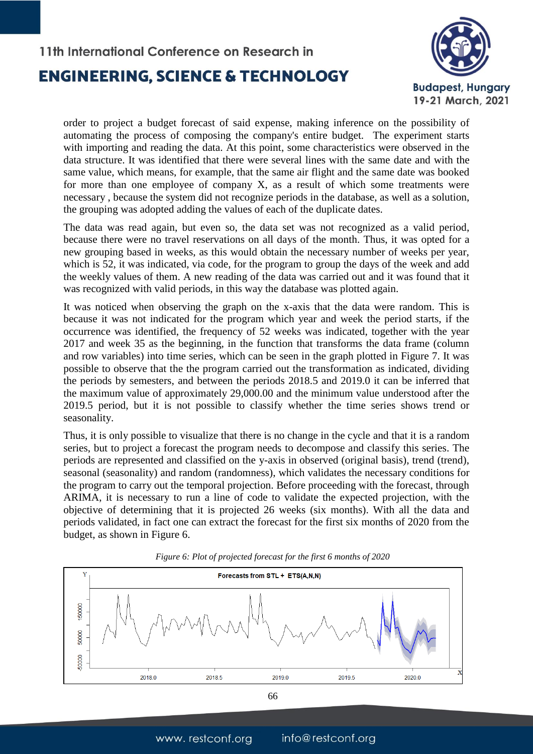

order to project a budget forecast of said expense, making inference on the possibility of automating the process of composing the company's entire budget. The experiment starts with importing and reading the data. At this point, some characteristics were observed in the data structure. It was identified that there were several lines with the same date and with the same value, which means, for example, that the same air flight and the same date was booked for more than one employee of company X, as a result of which some treatments were necessary , because the system did not recognize periods in the database, as well as a solution, the grouping was adopted adding the values of each of the duplicate dates.

The data was read again, but even so, the data set was not recognized as a valid period, because there were no travel reservations on all days of the month. Thus, it was opted for a new grouping based in weeks, as this would obtain the necessary number of weeks per year, which is 52, it was indicated, via code, for the program to group the days of the week and add the weekly values of them. A new reading of the data was carried out and it was found that it was recognized with valid periods, in this way the database was plotted again.

It was noticed when observing the graph on the x-axis that the data were random. This is because it was not indicated for the program which year and week the period starts, if the occurrence was identified, the frequency of 52 weeks was indicated, together with the year 2017 and week 35 as the beginning, in the function that transforms the data frame (column and row variables) into time series, which can be seen in the graph plotted in Figure 7. It was possible to observe that the the program carried out the transformation as indicated, dividing the periods by semesters, and between the periods 2018.5 and 2019.0 it can be inferred that the maximum value of approximately 29,000.00 and the minimum value understood after the 2019.5 period, but it is not possible to classify whether the time series shows trend or seasonality.

Thus, it is only possible to visualize that there is no change in the cycle and that it is a random series, but to project a forecast the program needs to decompose and classify this series. The periods are represented and classified on the y-axis in observed (original basis), trend (trend), seasonal (seasonality) and random (randomness), which validates the necessary conditions for the program to carry out the temporal projection. Before proceeding with the forecast, through ARIMA, it is necessary to run a line of code to validate the expected projection, with the objective of determining that it is projected 26 weeks (six months). With all the data and periods validated, in fact one can extract the forecast for the first six months of 2020 from the budget, as shown in Figure 6.



*Figure 6: Plot of projected forecast for the first 6 months of 2020*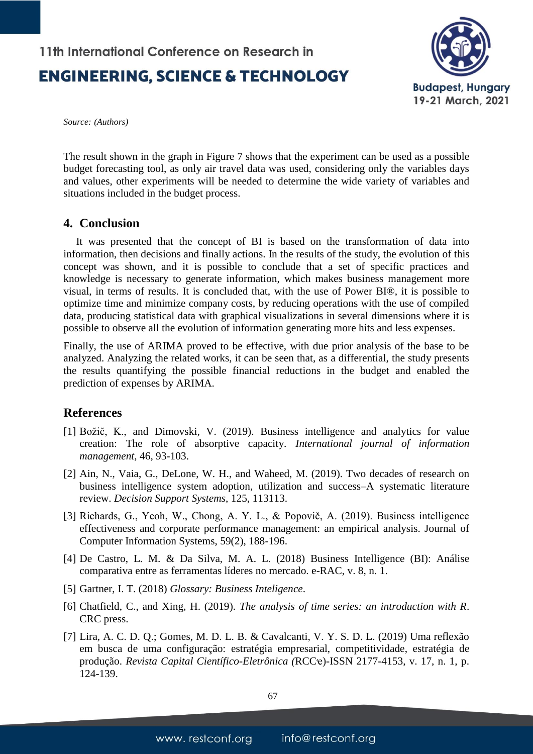

*Source: (Authors)*

The result shown in the graph in Figure 7 shows that the experiment can be used as a possible budget forecasting tool, as only air travel data was used, considering only the variables days and values, other experiments will be needed to determine the wide variety of variables and situations included in the budget process.

### **4. Conclusion**

It was presented that the concept of BI is based on the transformation of data into information, then decisions and finally actions. In the results of the study, the evolution of this concept was shown, and it is possible to conclude that a set of specific practices and knowledge is necessary to generate information, which makes business management more visual, in terms of results. It is concluded that, with the use of Power BI®, it is possible to optimize time and minimize company costs, by reducing operations with the use of compiled data, producing statistical data with graphical visualizations in several dimensions where it is possible to observe all the evolution of information generating more hits and less expenses.

Finally, the use of ARIMA proved to be effective, with due prior analysis of the base to be analyzed. Analyzing the related works, it can be seen that, as a differential, the study presents the results quantifying the possible financial reductions in the budget and enabled the prediction of expenses by ARIMA.

### **References**

- [1] Božič, K., and Dimovski, V. (2019). Business intelligence and analytics for value creation: The role of absorptive capacity. *International journal of information management*, 46, 93-103.
- [2] Ain, N., Vaia, G., DeLone, W. H., and Waheed, M. (2019). Two decades of research on business intelligence system adoption, utilization and success–A systematic literature review. *Decision Support Systems*, 125, 113113.
- [3] Richards, G., Yeoh, W., Chong, A. Y. L., & Popovič, A. (2019). Business intelligence effectiveness and corporate performance management: an empirical analysis. Journal of Computer Information Systems, 59(2), 188-196.
- [4] De Castro, L. M. & Da Silva, M. A. L. (2018) Business Intelligence (BI): Análise comparativa entre as ferramentas líderes no mercado. e-RAC, v. 8, n. 1.
- [5] Gartner, I. T. (2018) *Glossary: Business Inteligence*.
- [6] Chatfield, C., and Xing, H. (2019). *The analysis of time series: an introduction with R*. CRC press.
- [7] Lira, A. C. D. Q.; Gomes, M. D. L. B. & Cavalcanti, V. Y. S. D. L. (2019) Uma reflexão em busca de uma configuração: estratégia empresarial, competitividade, estratégia de produção. *Revista Capital Científico-Eletrônica (*RCCҽ)-ISSN 2177-4153, v. 17, n. 1, p. 124-139.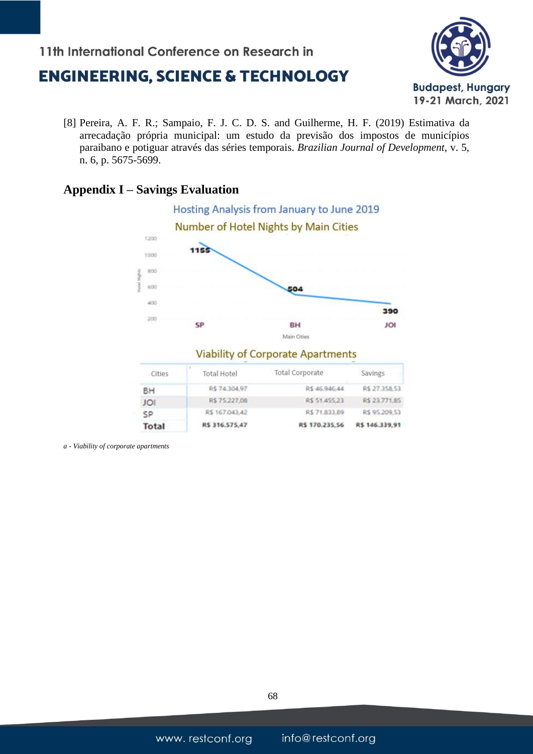## **ENGINEERING, SCIENCE & TECHNOLOGY**

11th International Conference on Research in



[8] Pereira, A. F. R.; Sampaio, F. J. C. D. S. and Guilherme, H. F. (2019) Estimativa da arrecadação própria municipal: um estudo da previsão dos impostos de municípios paraibano e potiguar através das séries temporais. *Brazilian Journal of Development*, v. 5, n. 6, p. 5675-5699.

### **Appendix I – Savings Evaluation**



| Cities       | <b>Total Hotel</b> | <b>Total Corporate</b> | Savings        |
|--------------|--------------------|------------------------|----------------|
| BH           | R\$74,304,97       | R\$ 46.946.44          | R\$ 27.358.53  |
| IOI          | R\$75.227.08       | R\$ 51,455,23          | R\$ 23.771.85  |
| SP           | R\$ 167.043,42     | R\$71,833,89           | R\$ 95.209,53  |
| <b>Total</b> | R\$ 316.575,47     | R\$ 170.235,56         | R\$ 146.339,91 |

*a - Viability of corporate apartments*